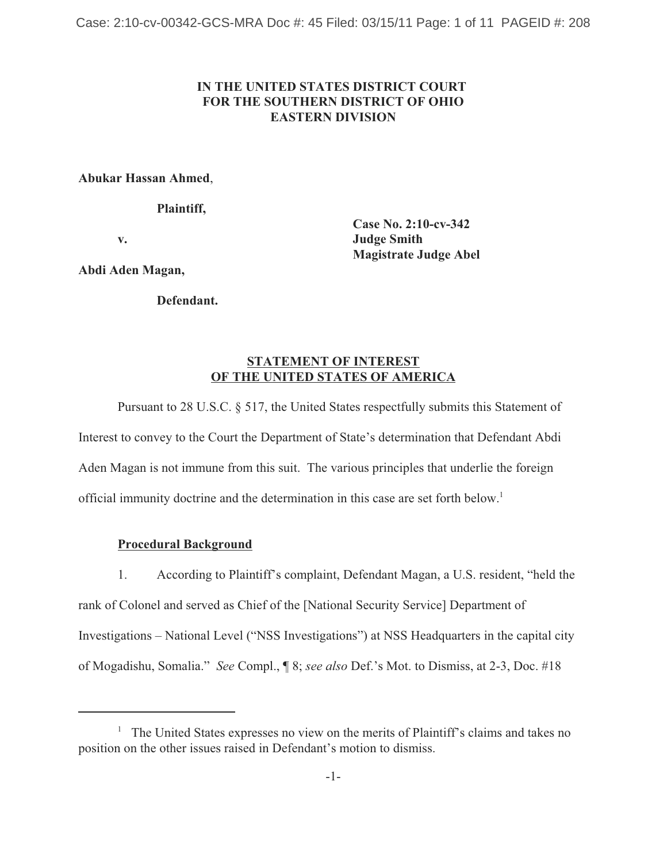# **IN THE UNITED STATES DISTRICT COURT FOR THE SOUTHERN DISTRICT OF OHIO EASTERN DIVISION**

#### **Abukar Hassan Ahmed**,

**Plaintiff,**

**Case No. 2:10-cv-342 v. Judge Smith Magistrate Judge Abel**

**Abdi Aden Magan,**

**Defendant.**

# **STATEMENT OF INTEREST OF THE UNITED STATES OF AMERICA**

Pursuant to 28 U.S.C. § 517, the United States respectfully submits this Statement of Interest to convey to the Court the Department of State's determination that Defendant Abdi Aden Magan is not immune from this suit. The various principles that underlie the foreign official immunity doctrine and the determination in this case are set forth below.1

## **Procedural Background**

1. According to Plaintiff's complaint, Defendant Magan, a U.S. resident, "held the rank of Colonel and served as Chief of the [National Security Service] Department of Investigations – National Level ("NSS Investigations") at NSS Headquarters in the capital city of Mogadishu, Somalia." *See* Compl., ¶ 8; *see also* Def.'s Mot. to Dismiss, at 2-3, Doc. #18

<sup>&</sup>lt;sup>1</sup> The United States expresses no view on the merits of Plaintiff's claims and takes no position on the other issues raised in Defendant's motion to dismiss.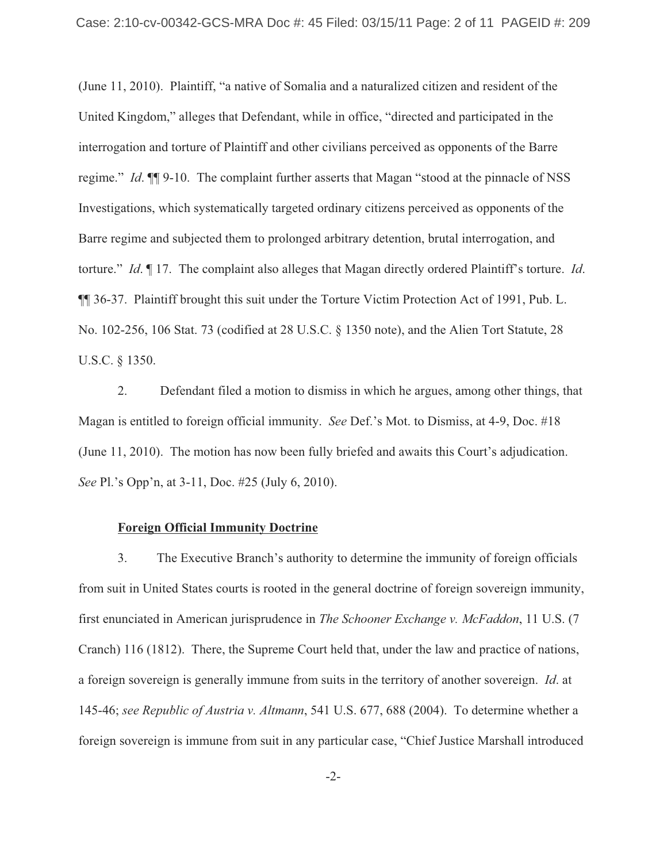(June 11, 2010). Plaintiff, "a native of Somalia and a naturalized citizen and resident of the United Kingdom," alleges that Defendant, while in office, "directed and participated in the interrogation and torture of Plaintiff and other civilians perceived as opponents of the Barre regime." *Id*. ¶¶ 9-10. The complaint further asserts that Magan "stood at the pinnacle of NSS Investigations, which systematically targeted ordinary citizens perceived as opponents of the Barre regime and subjected them to prolonged arbitrary detention, brutal interrogation, and torture." *Id*. ¶ 17. The complaint also alleges that Magan directly ordered Plaintiff's torture. *Id*. ¶¶ 36-37. Plaintiff brought this suit under the Torture Victim Protection Act of 1991, Pub. L. No. 102-256, 106 Stat. 73 (codified at 28 U.S.C. § 1350 note), and the Alien Tort Statute, 28 U.S.C. § 1350.

2. Defendant filed a motion to dismiss in which he argues, among other things, that Magan is entitled to foreign official immunity. *See* Def.'s Mot. to Dismiss, at 4-9, Doc. #18 (June 11, 2010). The motion has now been fully briefed and awaits this Court's adjudication. *See* Pl.'s Opp'n, at 3-11, Doc. #25 (July 6, 2010).

#### **Foreign Official Immunity Doctrine**

3. The Executive Branch's authority to determine the immunity of foreign officials from suit in United States courts is rooted in the general doctrine of foreign sovereign immunity, first enunciated in American jurisprudence in *The Schooner Exchange v. McFaddon*, 11 U.S. (7 Cranch) 116 (1812). There, the Supreme Court held that, under the law and practice of nations, a foreign sovereign is generally immune from suits in the territory of another sovereign. *Id*. at 145-46; *see Republic of Austria v. Altmann*, 541 U.S. 677, 688 (2004). To determine whether a foreign sovereign is immune from suit in any particular case, "Chief Justice Marshall introduced

-2-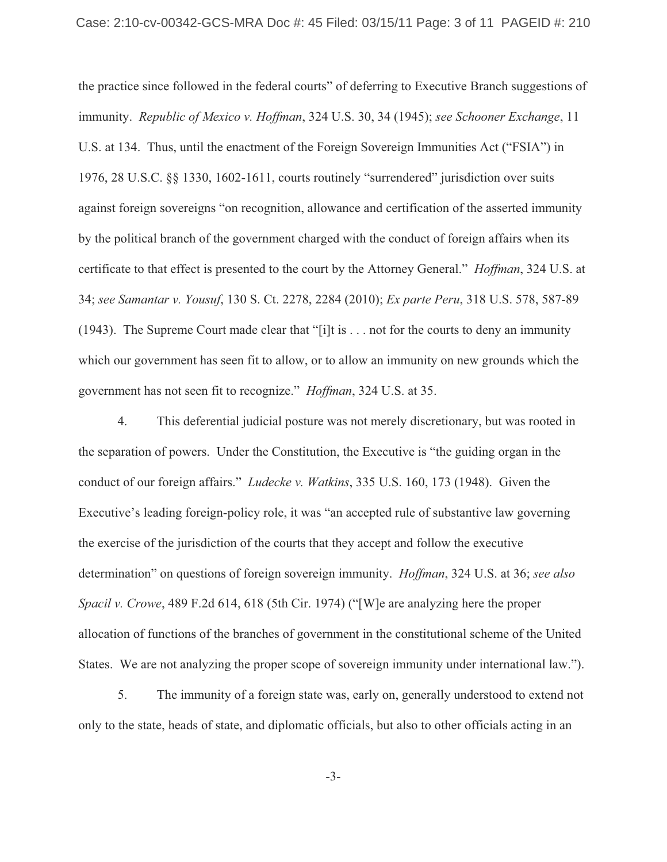the practice since followed in the federal courts" of deferring to Executive Branch suggestions of immunity. *Republic of Mexico v. Hoffman*, 324 U.S. 30, 34 (1945); *see Schooner Exchange*, 11 U.S. at 134. Thus, until the enactment of the Foreign Sovereign Immunities Act ("FSIA") in 1976, 28 U.S.C. §§ 1330, 1602-1611, courts routinely "surrendered" jurisdiction over suits against foreign sovereigns "on recognition, allowance and certification of the asserted immunity by the political branch of the government charged with the conduct of foreign affairs when its certificate to that effect is presented to the court by the Attorney General." *Hoffman*, 324 U.S. at 34; *see Samantar v. Yousuf*, 130 S. Ct. 2278, 2284 (2010); *Ex parte Peru*, 318 U.S. 578, 587-89 (1943). The Supreme Court made clear that "[i]t is . . . not for the courts to deny an immunity which our government has seen fit to allow, or to allow an immunity on new grounds which the government has not seen fit to recognize." *Hoffman*, 324 U.S. at 35.

4. This deferential judicial posture was not merely discretionary, but was rooted in the separation of powers. Under the Constitution, the Executive is "the guiding organ in the conduct of our foreign affairs." *Ludecke v. Watkins*, 335 U.S. 160, 173 (1948). Given the Executive's leading foreign-policy role, it was "an accepted rule of substantive law governing the exercise of the jurisdiction of the courts that they accept and follow the executive determination" on questions of foreign sovereign immunity. *Hoffman*, 324 U.S. at 36; *see also Spacil v. Crowe*, 489 F.2d 614, 618 (5th Cir. 1974) ("[W]e are analyzing here the proper allocation of functions of the branches of government in the constitutional scheme of the United States. We are not analyzing the proper scope of sovereign immunity under international law.").

5. The immunity of a foreign state was, early on, generally understood to extend not only to the state, heads of state, and diplomatic officials, but also to other officials acting in an

-3-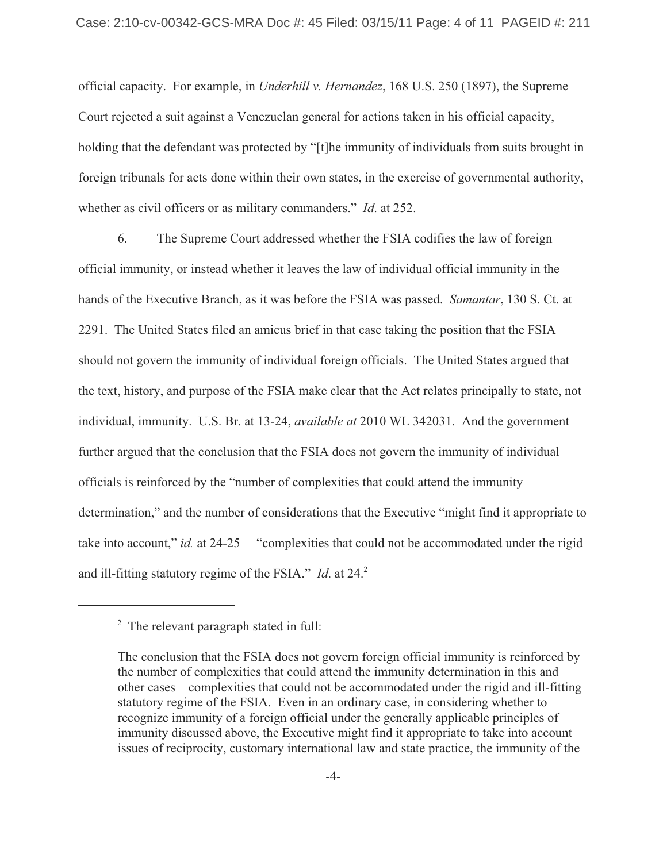official capacity. For example, in *Underhill v. Hernandez*, 168 U.S. 250 (1897), the Supreme Court rejected a suit against a Venezuelan general for actions taken in his official capacity, holding that the defendant was protected by "[t]he immunity of individuals from suits brought in foreign tribunals for acts done within their own states, in the exercise of governmental authority, whether as civil officers or as military commanders." *Id*. at 252.

6. The Supreme Court addressed whether the FSIA codifies the law of foreign official immunity, or instead whether it leaves the law of individual official immunity in the hands of the Executive Branch, as it was before the FSIA was passed. *Samantar*, 130 S. Ct. at 2291. The United States filed an amicus brief in that case taking the position that the FSIA should not govern the immunity of individual foreign officials. The United States argued that the text, history, and purpose of the FSIA make clear that the Act relates principally to state, not individual, immunity. U.S. Br. at 13-24, *available at* 2010 WL 342031. And the government further argued that the conclusion that the FSIA does not govern the immunity of individual officials is reinforced by the "number of complexities that could attend the immunity determination," and the number of considerations that the Executive "might find it appropriate to take into account," *id.* at 24-25— "complexities that could not be accommodated under the rigid and ill-fitting statutory regime of the FSIA." *Id.* at 24.<sup>2</sup>

<sup>&</sup>lt;sup>2</sup> The relevant paragraph stated in full:

The conclusion that the FSIA does not govern foreign official immunity is reinforced by the number of complexities that could attend the immunity determination in this and other cases—complexities that could not be accommodated under the rigid and ill-fitting statutory regime of the FSIA. Even in an ordinary case, in considering whether to recognize immunity of a foreign official under the generally applicable principles of immunity discussed above, the Executive might find it appropriate to take into account issues of reciprocity, customary international law and state practice, the immunity of the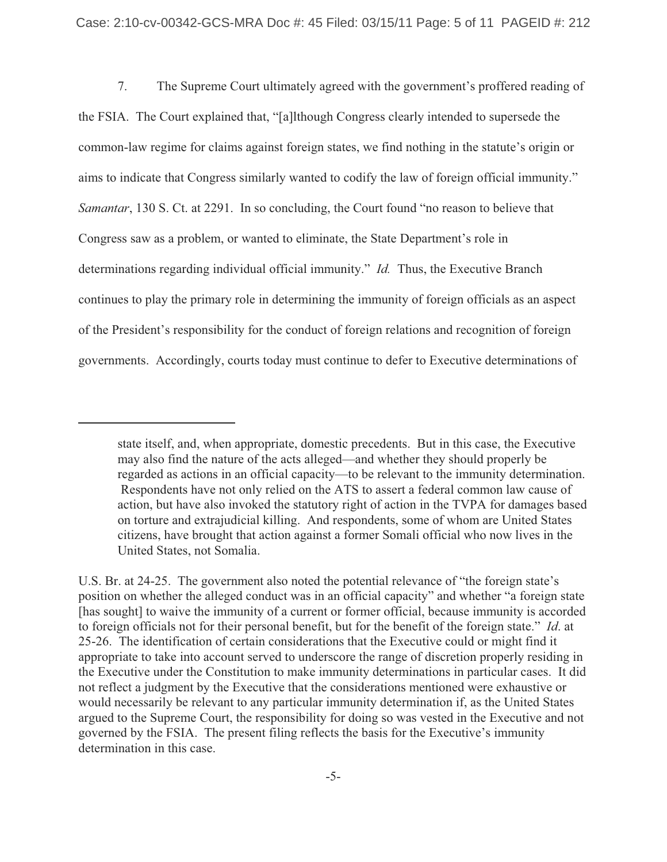7. The Supreme Court ultimately agreed with the government's proffered reading of the FSIA. The Court explained that, "[a]lthough Congress clearly intended to supersede the common-law regime for claims against foreign states, we find nothing in the statute's origin or aims to indicate that Congress similarly wanted to codify the law of foreign official immunity." *Samantar*, 130 S. Ct. at 2291. In so concluding, the Court found "no reason to believe that Congress saw as a problem, or wanted to eliminate, the State Department's role in determinations regarding individual official immunity." *Id.* Thus, the Executive Branch continues to play the primary role in determining the immunity of foreign officials as an aspect of the President's responsibility for the conduct of foreign relations and recognition of foreign governments. Accordingly, courts today must continue to defer to Executive determinations of

state itself, and, when appropriate, domestic precedents. But in this case, the Executive may also find the nature of the acts alleged—and whether they should properly be regarded as actions in an official capacity—to be relevant to the immunity determination. Respondents have not only relied on the ATS to assert a federal common law cause of action, but have also invoked the statutory right of action in the TVPA for damages based on torture and extrajudicial killing. And respondents, some of whom are United States citizens, have brought that action against a former Somali official who now lives in the United States, not Somalia.

U.S. Br. at 24-25. The government also noted the potential relevance of "the foreign state's position on whether the alleged conduct was in an official capacity" and whether "a foreign state [has sought] to waive the immunity of a current or former official, because immunity is accorded to foreign officials not for their personal benefit, but for the benefit of the foreign state." *Id*. at 25-26. The identification of certain considerations that the Executive could or might find it appropriate to take into account served to underscore the range of discretion properly residing in the Executive under the Constitution to make immunity determinations in particular cases. It did not reflect a judgment by the Executive that the considerations mentioned were exhaustive or would necessarily be relevant to any particular immunity determination if, as the United States argued to the Supreme Court, the responsibility for doing so was vested in the Executive and not governed by the FSIA. The present filing reflects the basis for the Executive's immunity determination in this case.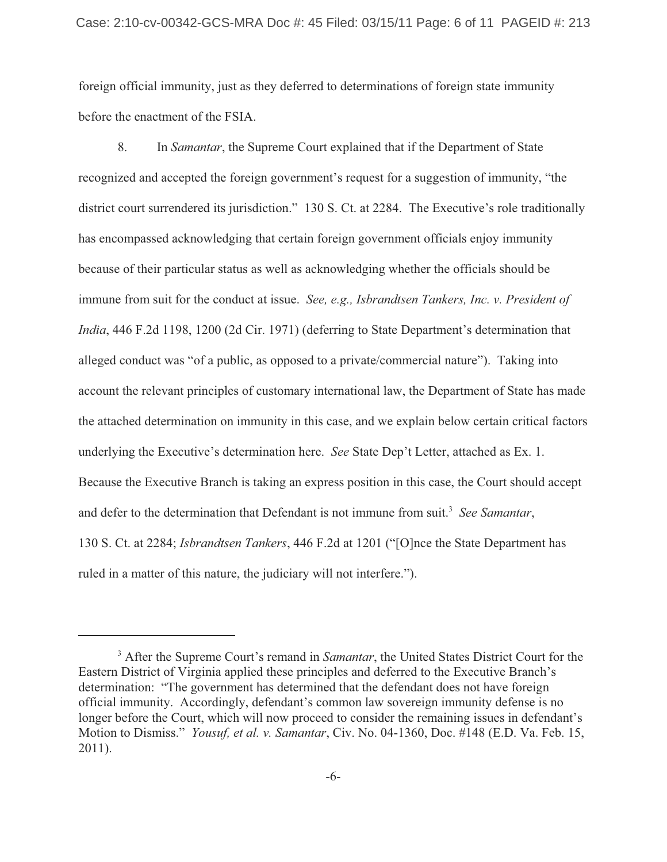foreign official immunity, just as they deferred to determinations of foreign state immunity before the enactment of the FSIA.

8. In *Samantar*, the Supreme Court explained that if the Department of State recognized and accepted the foreign government's request for a suggestion of immunity, "the district court surrendered its jurisdiction." 130 S. Ct. at 2284. The Executive's role traditionally has encompassed acknowledging that certain foreign government officials enjoy immunity because of their particular status as well as acknowledging whether the officials should be immune from suit for the conduct at issue. *See, e.g., Isbrandtsen Tankers, Inc. v. President of India*, 446 F.2d 1198, 1200 (2d Cir. 1971) (deferring to State Department's determination that alleged conduct was "of a public, as opposed to a private/commercial nature"). Taking into account the relevant principles of customary international law, the Department of State has made the attached determination on immunity in this case, and we explain below certain critical factors underlying the Executive's determination here. *See* State Dep't Letter, attached as Ex. 1. Because the Executive Branch is taking an express position in this case, the Court should accept and defer to the determination that Defendant is not immune from suit.<sup>3</sup> *See Samantar*, 130 S. Ct. at 2284; *Isbrandtsen Tankers*, 446 F.2d at 1201 ("[O]nce the State Department has ruled in a matter of this nature, the judiciary will not interfere.").

<sup>&</sup>lt;sup>3</sup> After the Supreme Court's remand in *Samantar*, the United States District Court for the Eastern District of Virginia applied these principles and deferred to the Executive Branch's determination: "The government has determined that the defendant does not have foreign official immunity. Accordingly, defendant's common law sovereign immunity defense is no longer before the Court, which will now proceed to consider the remaining issues in defendant's Motion to Dismiss." *Yousuf, et al. v. Samantar*, Civ. No. 04-1360, Doc. #148 (E.D. Va. Feb. 15, 2011).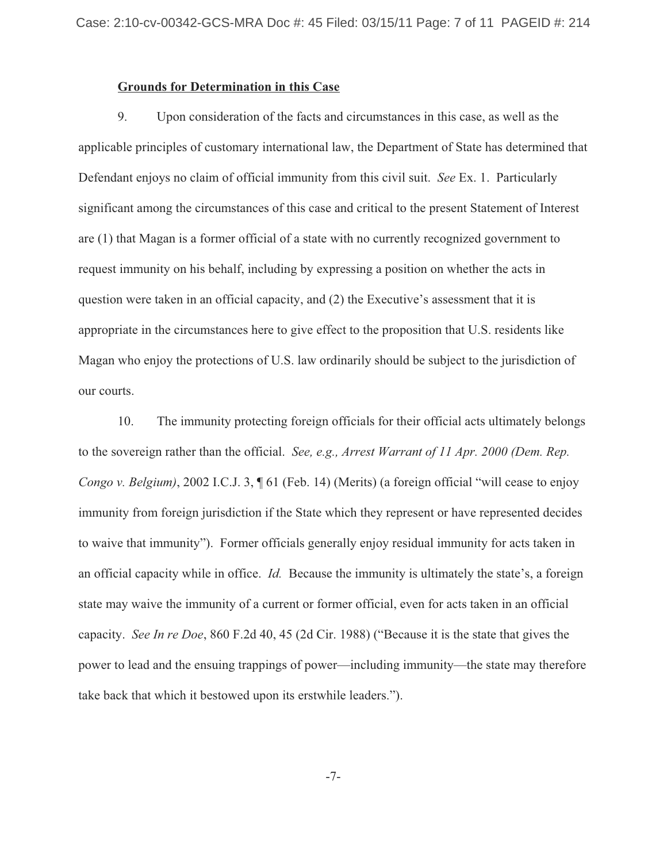#### **Grounds for Determination in this Case**

9. Upon consideration of the facts and circumstances in this case, as well as the applicable principles of customary international law, the Department of State has determined that Defendant enjoys no claim of official immunity from this civil suit. *See* Ex. 1. Particularly significant among the circumstances of this case and critical to the present Statement of Interest are (1) that Magan is a former official of a state with no currently recognized government to request immunity on his behalf, including by expressing a position on whether the acts in question were taken in an official capacity, and (2) the Executive's assessment that it is appropriate in the circumstances here to give effect to the proposition that U.S. residents like Magan who enjoy the protections of U.S. law ordinarily should be subject to the jurisdiction of our courts.

10. The immunity protecting foreign officials for their official acts ultimately belongs to the sovereign rather than the official. *See, e.g., Arrest Warrant of 11 Apr. 2000 (Dem. Rep. Congo v. Belgium*), 2002 I.C.J. 3,  $\parallel$  61 (Feb. 14) (Merits) (a foreign official "will cease to enjoy immunity from foreign jurisdiction if the State which they represent or have represented decides to waive that immunity"). Former officials generally enjoy residual immunity for acts taken in an official capacity while in office. *Id.* Because the immunity is ultimately the state's, a foreign state may waive the immunity of a current or former official, even for acts taken in an official capacity. *See In re Doe*, 860 F.2d 40, 45 (2d Cir. 1988) ("Because it is the state that gives the power to lead and the ensuing trappings of power—including immunity—the state may therefore take back that which it bestowed upon its erstwhile leaders.").

-7-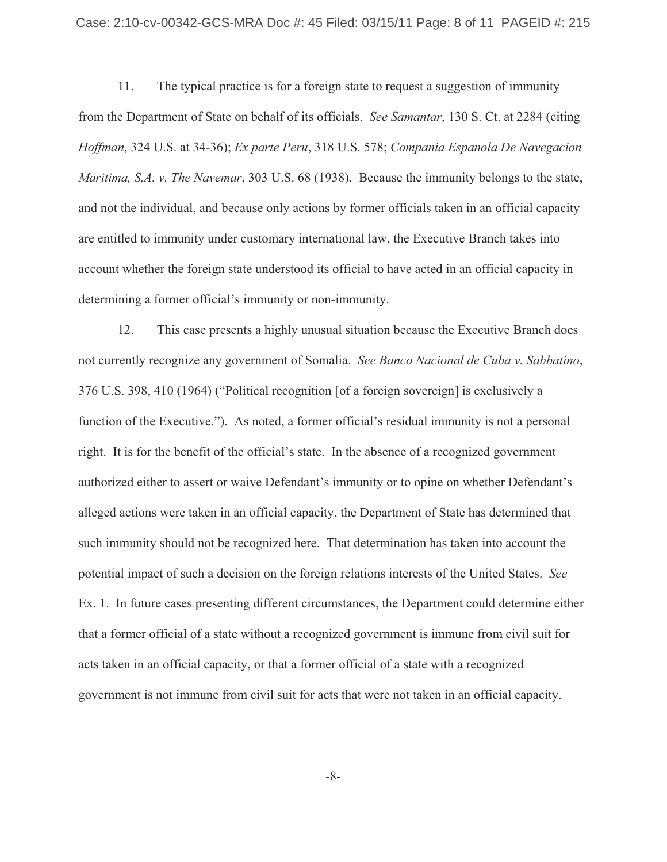11. The typical practice is for a foreign state to request a suggestion of immunity from the Department of State on behalf of its officials. *See Samantar*, 130 S. Ct. at 2284 (citing *Hoffman*, 324 U.S. at 34-36); *Ex parte Peru*, 318 U.S. 578; *Compania Espanola De Navegacion Maritima, S.A. v. The Navemar*, 303 U.S. 68 (1938). Because the immunity belongs to the state, and not the individual, and because only actions by former officials taken in an official capacity are entitled to immunity under customary international law, the Executive Branch takes into account whether the foreign state understood its official to have acted in an official capacity in determining a former official's immunity or non-immunity.

12. This case presents a highly unusual situation because the Executive Branch does not currently recognize any government of Somalia. *See Banco Nacional de Cuba v. Sabbatino*, 376 U.S. 398, 410 (1964) ("Political recognition [of a foreign sovereign] is exclusively a function of the Executive."). As noted, a former official's residual immunity is not a personal right. It is for the benefit of the official's state. In the absence of a recognized government authorized either to assert or waive Defendant's immunity or to opine on whether Defendant's alleged actions were taken in an official capacity, the Department of State has determined that such immunity should not be recognized here. That determination has taken into account the potential impact of such a decision on the foreign relations interests of the United States. *See* Ex. 1. In future cases presenting different circumstances, the Department could determine either that a former official of a state without a recognized government is immune from civil suit for acts taken in an official capacity, or that a former official of a state with a recognized government is not immune from civil suit for acts that were not taken in an official capacity.

-8-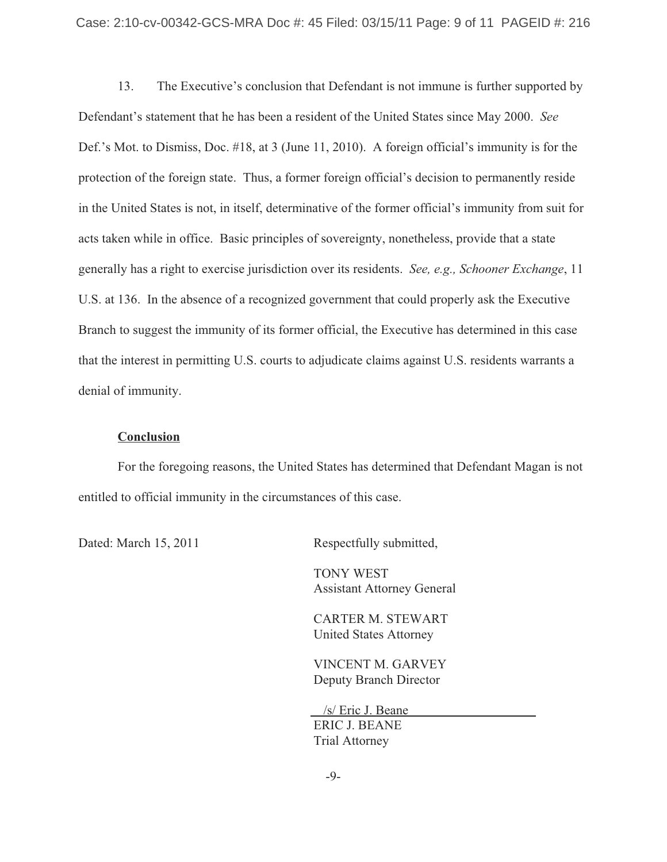13. The Executive's conclusion that Defendant is not immune is further supported by Defendant's statement that he has been a resident of the United States since May 2000. *See* Def.'s Mot. to Dismiss, Doc. #18, at 3 (June 11, 2010). A foreign official's immunity is for the protection of the foreign state. Thus, a former foreign official's decision to permanently reside in the United States is not, in itself, determinative of the former official's immunity from suit for acts taken while in office. Basic principles of sovereignty, nonetheless, provide that a state generally has a right to exercise jurisdiction over its residents. *See, e.g., Schooner Exchange*, 11 U.S. at 136. In the absence of a recognized government that could properly ask the Executive Branch to suggest the immunity of its former official, the Executive has determined in this case that the interest in permitting U.S. courts to adjudicate claims against U.S. residents warrants a denial of immunity.

## **Conclusion**

For the foregoing reasons, the United States has determined that Defendant Magan is not entitled to official immunity in the circumstances of this case.

Dated: March 15, 2011 Respectfully submitted,

 TONY WEST Assistant Attorney General

CARTER M. STEWART United States Attorney

VINCENT M. GARVEY Deputy Branch Director

 /s/ Eric J. Beane ERIC J. BEANE Trial Attorney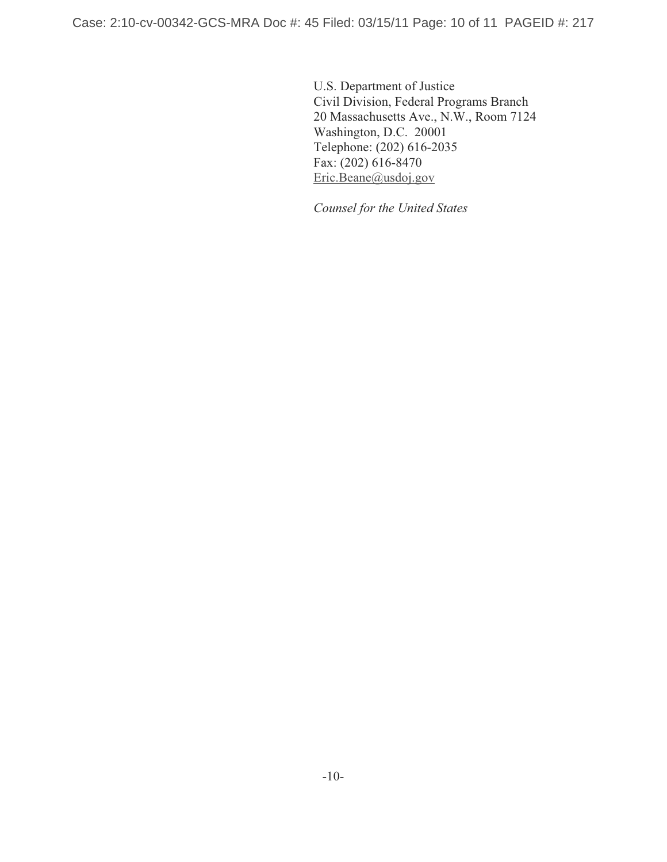U.S. Department of Justice Civil Division, Federal Programs Branch 20 Massachusetts Ave., N.W., Room 7124 Washington, D.C. 20001 Telephone: (202) 616-2035 Fax: (202) 616-8470 Eric.Beane@usdoj.gov

*Counsel for the United States*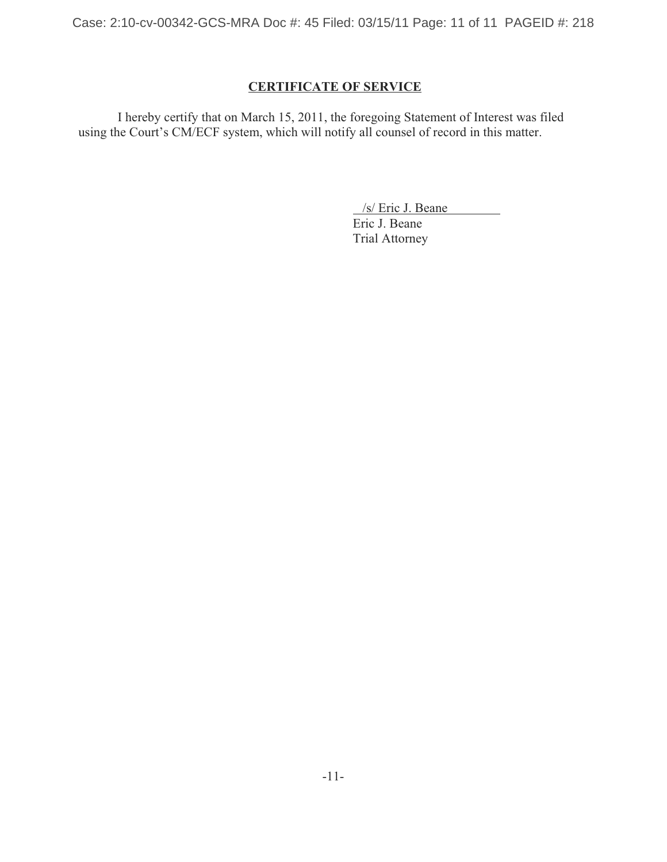Case: 2:10-cv-00342-GCS-MRA Doc #: 45 Filed: 03/15/11 Page: 11 of 11 PAGEID #: 218

# **CERTIFICATE OF SERVICE**

I hereby certify that on March 15, 2011, the foregoing Statement of Interest was filed using the Court's CM/ECF system, which will notify all counsel of record in this matter.

/s/ Eric J. Beane

Eric J. Beane Trial Attorney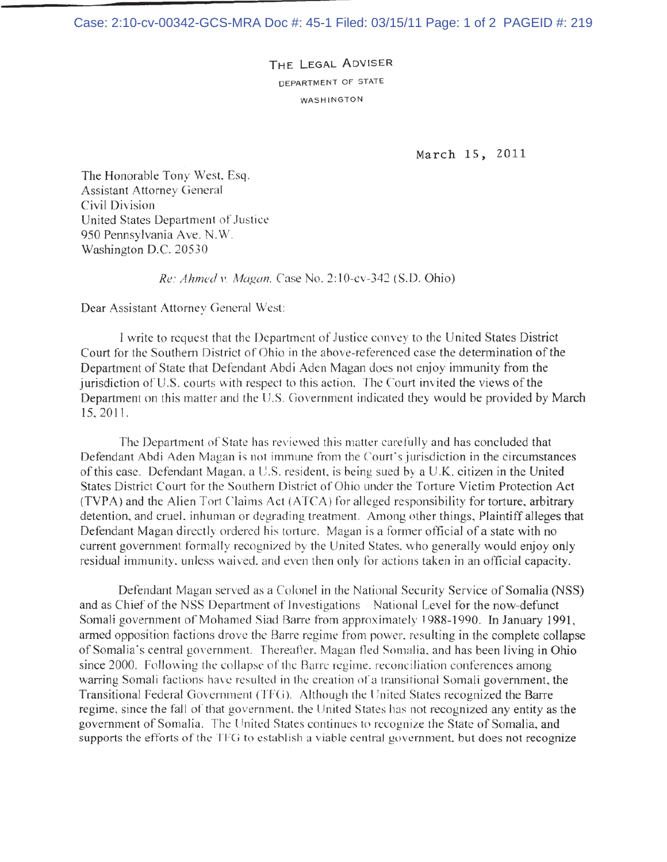THE LEGAL ADVISER DEPARTMENT OF STATE WASHINGTON

March 15, 2011

The Honorable Tony West, Esq. Assistant Attorney General Civil Division United States Department of Justice 950 Pennsylvania Ave. N.W. Washington D.C. 20530

Re: Ahmed v. Magan, Case No. 2:10-cv-342 (S.D. Ohio)

Dear Assistant Attorney General West:

I write to request that the Department of Justice convey to the United States District Court for the Southern District of Ohio in the above-referenced case the determination of the Department of State that Defendant Abdi Aden Magan does not enjoy immunity from the jurisdiction of U.S. courts with respect to this action. The Court invited the views of the Department on this matter and the U.S. Government indicated they would be provided by March 15, 2011.

The Department of State has reviewed this matter carefully and has concluded that Defendant Abdi Aden Magan is not immune from the Court's jurisdiction in the circumstances of this case. Defendant Magan, a U.S. resident, is being sued by a U.K. citizen in the United States District Court for the Southern District of Ohio under the Torture Victim Protection Act (TVPA) and the Alien Tort Claims Act (ATCA) for alleged responsibility for torture, arbitrary detention, and cruel, inhuman or degrading treatment. Among other things, Plaintiff alleges that Defendant Magan directly ordered his torture. Magan is a former official of a state with no current government formally recognized by the United States, who generally would enjoy only residual immunity, unless waived, and even then only for actions taken in an official capacity.

Defendant Magan served as a Colonel in the National Security Service of Somalia (NSS) and as Chief of the NSS Department of Investigations - National Level for the now-defunct Somali government of Mohamed Siad Barre from approximately 1988-1990. In January 1991, armed opposition factions drove the Barre regime from power, resulting in the complete collapse of Somalia's central government. Thereafter. Magan fled Somalia, and has been living in Ohio since 2000. Following the collapse of the Barre regime, reconciliation conferences among warring Somali factions have resulted in the creation of a transitional Somali government, the Transitional Federal Government (TFG). Although the United States recognized the Barre regime, since the fall of that government, the United States has not recognized any entity as the government of Somalia. The United States continues to recognize the State of Somalia, and supports the efforts of the TFG to establish a viable central government, but does not recognize